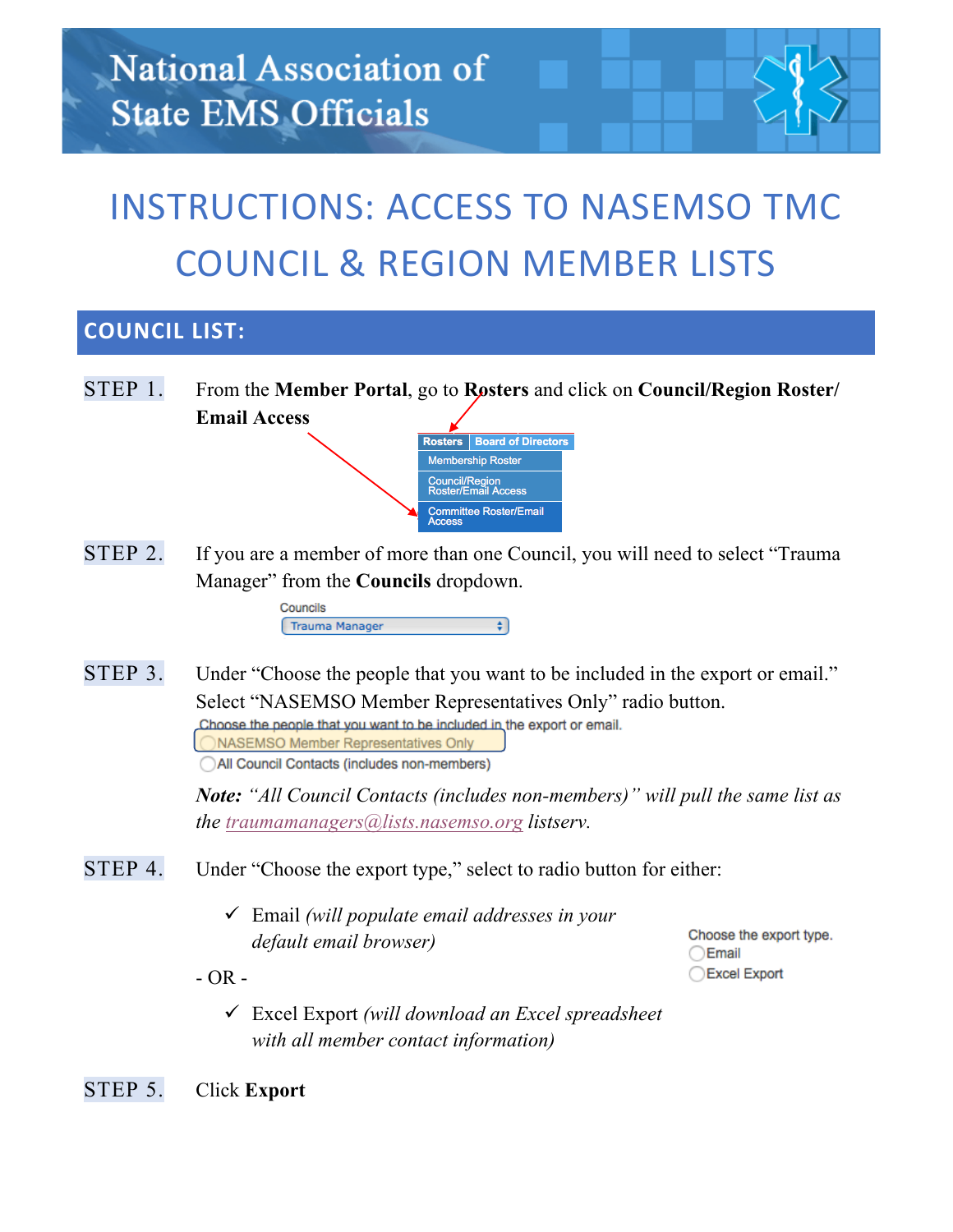## **INSTRUCTIONS: ACCESS TO NASEMSO TMC** COUNCIL & REGION MEMBER LISTS

## **COUNCIL LIST:**

STEP 1. From the **Member Portal**, go to **Rosters** and click on **Council/Region Roster/ Email Access**



STEP 2. If you are a member of more than one Council, you will need to select "Trauma" Manager" from the **Councils** dropdown.

> Councils Trauma Manager €

STEP 3. Under "Choose the people that you want to be included in the export or email." Select "NASEMSO Member Representatives Only" radio button. Choose the people that you want to be included in the export or email. ONASEMSO Member Representatives Only

All Council Contacts (includes non-members)

*Note: "All Council Contacts (includes non-members)" will pull the same list as the traumamanagers@lists.nasemso.org listserv.*

- STEP 4. Under "Choose the export type," select to radio button for either:
	- ü Email *(will populate email addresses in your default email browser)*

Choose the export type. ○Email Excel Export

 $- OR -$ 

ü Excel Export *(will download an Excel spreadsheet with all member contact information)*

STEP 5. Click **Export**